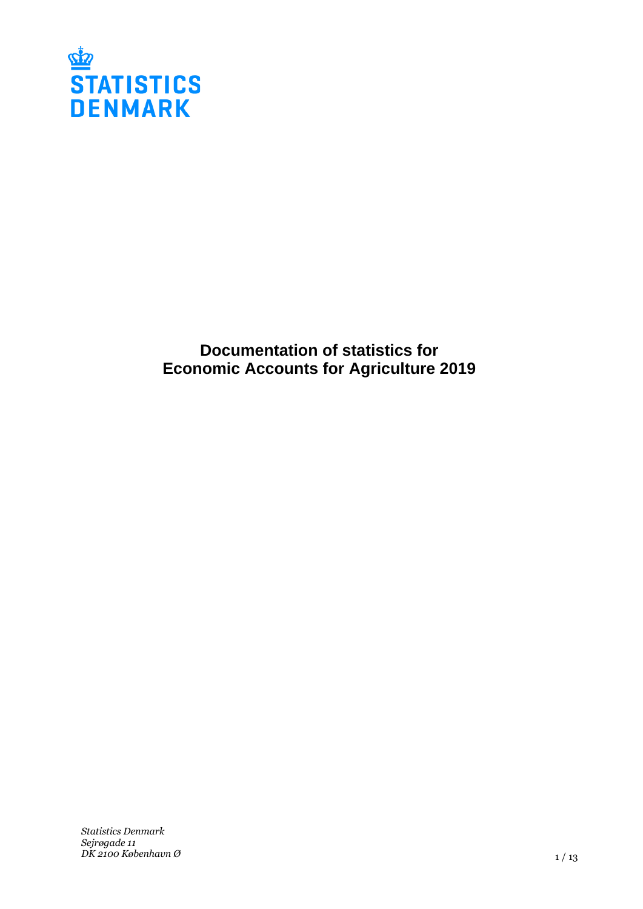

**Documentation of statistics for Economic Accounts for Agriculture 2019**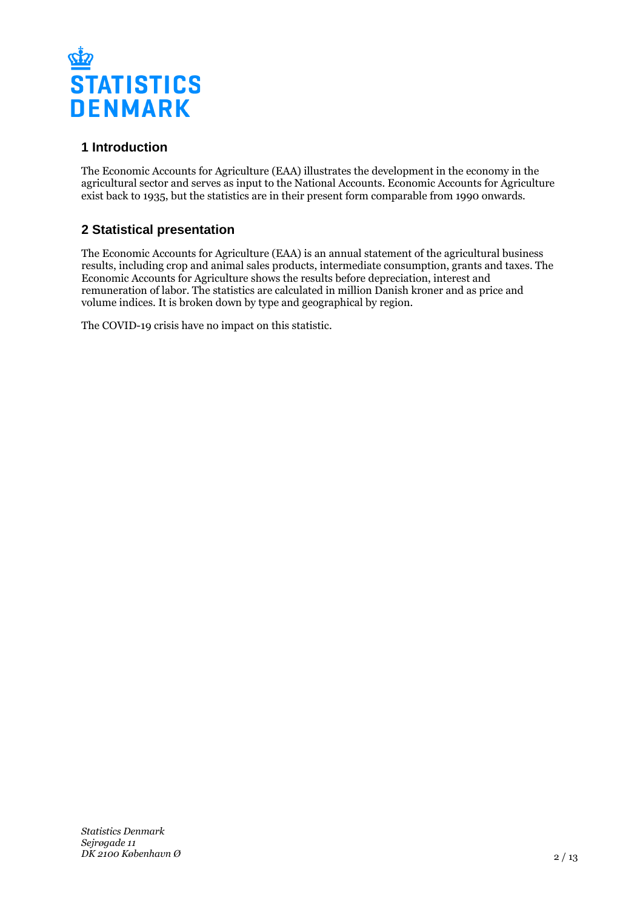

# **1 Introduction**

The Economic Accounts for Agriculture (EAA) illustrates the development in the economy in the agricultural sector and serves as input to the National Accounts. Economic Accounts for Agriculture exist back to 1935, but the statistics are in their present form comparable from 1990 onwards.

# **2 Statistical presentation**

The Economic Accounts for Agriculture (EAA) is an annual statement of the agricultural business results, including crop and animal sales products, intermediate consumption, grants and taxes. The Economic Accounts for Agriculture shows the results before depreciation, interest and remuneration of labor. The statistics are calculated in million Danish kroner and as price and volume indices. It is broken down by type and geographical by region.

The COVID-19 crisis have no impact on this statistic.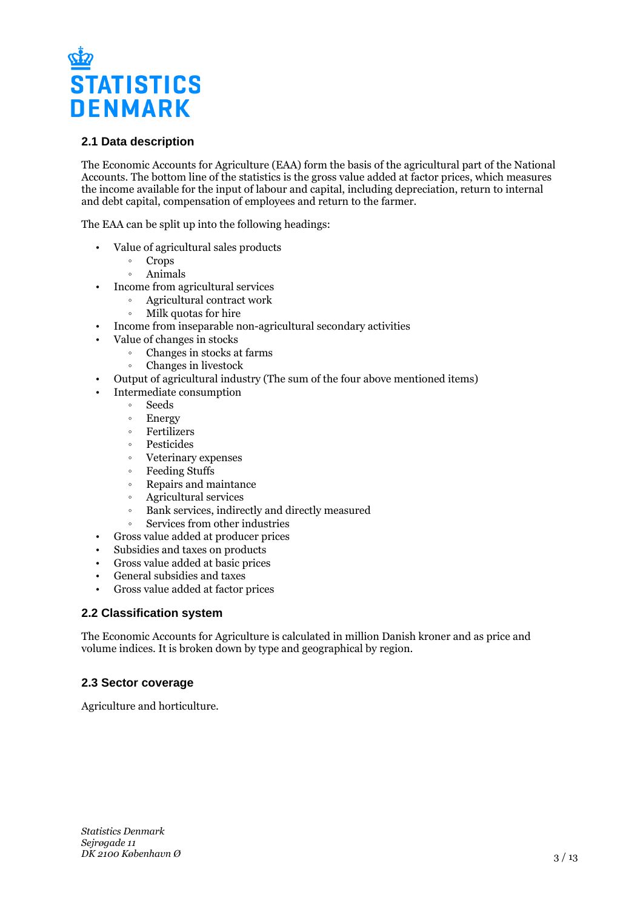

# **2.1 Data description**

The Economic Accounts for Agriculture (EAA) form the basis of the agricultural part of the National Accounts. The bottom line of the statistics is the gross value added at factor prices, which measures the income available for the input of labour and capital, including depreciation, return to internal and debt capital, compensation of employees and return to the farmer.

The EAA can be split up into the following headings:

- Value of agricultural sales products
	- ƕ Crops
		- ƕ Animals
- Income from agricultural services
	- ƕ Agricultural contract work
	- ƕ Milk quotas for hire
- Income from inseparable non-agricultural secondary activities
- Value of changes in stocks
	- ƕ Changes in stocks at farms
	- ƕ Changes in livestock
- Output of agricultural industry (The sum of the four above mentioned items)
- Intermediate consumption
	- ƕ Seeds
	- Energy
	- ƕ Fertilizers
	- ƕ Pesticides
	- ƕ Veterinary expenses
	- Feeding Stuffs
	- ƕ Repairs and maintance
	- ƕ Agricultural services
	- ƕ Bank services, indirectly and directly measured
	- ƕ Services from other industries
- Gross value added at producer prices
- Subsidies and taxes on products
- Gross value added at basic prices
- General subsidies and taxes
- Gross value added at factor prices

# **2.2 Classification system**

The Economic Accounts for Agriculture is calculated in million Danish kroner and as price and volume indices. It is broken down by type and geographical by region.

# **2.3 Sector coverage**

Agriculture and horticulture.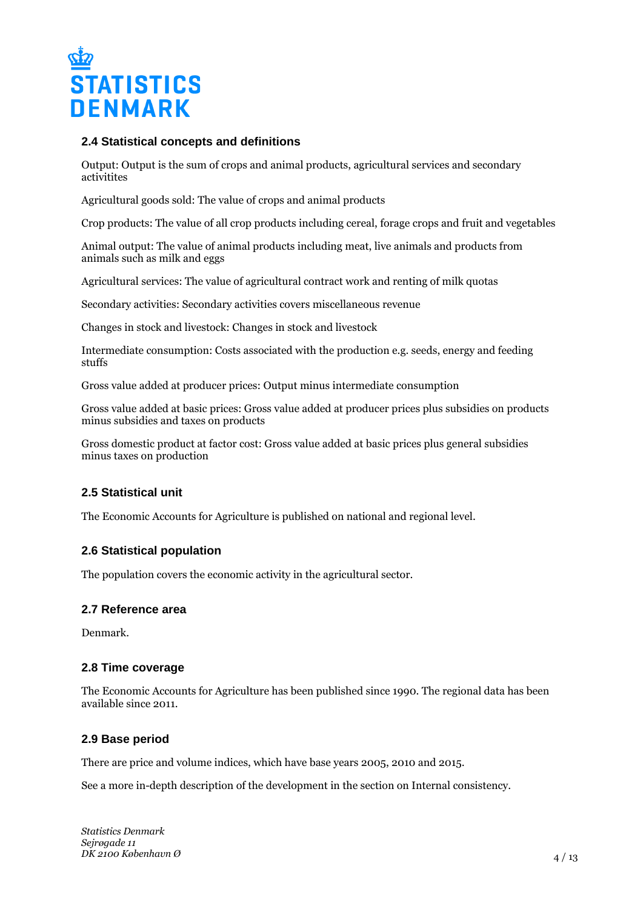

### **2.4 Statistical concepts and definitions**

Output: Output is the sum of crops and animal products, agricultural services and secondary activitites

Agricultural goods sold: The value of crops and animal products

Crop products: The value of all crop products including cereal, forage crops and fruit and vegetables

Animal output: The value of animal products including meat, live animals and products from animals such as milk and eggs

Agricultural services: The value of agricultural contract work and renting of milk quotas

Secondary activities: Secondary activities covers miscellaneous revenue

Changes in stock and livestock: Changes in stock and livestock

Intermediate consumption: Costs associated with the production e.g. seeds, energy and feeding stuffs

Gross value added at producer prices: Output minus intermediate consumption

Gross value added at basic prices: Gross value added at producer prices plus subsidies on products minus subsidies and taxes on products

Gross domestic product at factor cost: Gross value added at basic prices plus general subsidies minus taxes on production

# **2.5 Statistical unit**

The Economic Accounts for Agriculture is published on national and regional level.

### **2.6 Statistical population**

The population covers the economic activity in the agricultural sector.

### **2.7 Reference area**

Denmark.

### **2.8 Time coverage**

The Economic Accounts for Agriculture has been published since 1990. The regional data has been available since 2011.

# **2.9 Base period**

There are price and volume indices, which have base years 2005, 2010 and 2015.

See a more in-depth description of the development in the section on Internal consistency.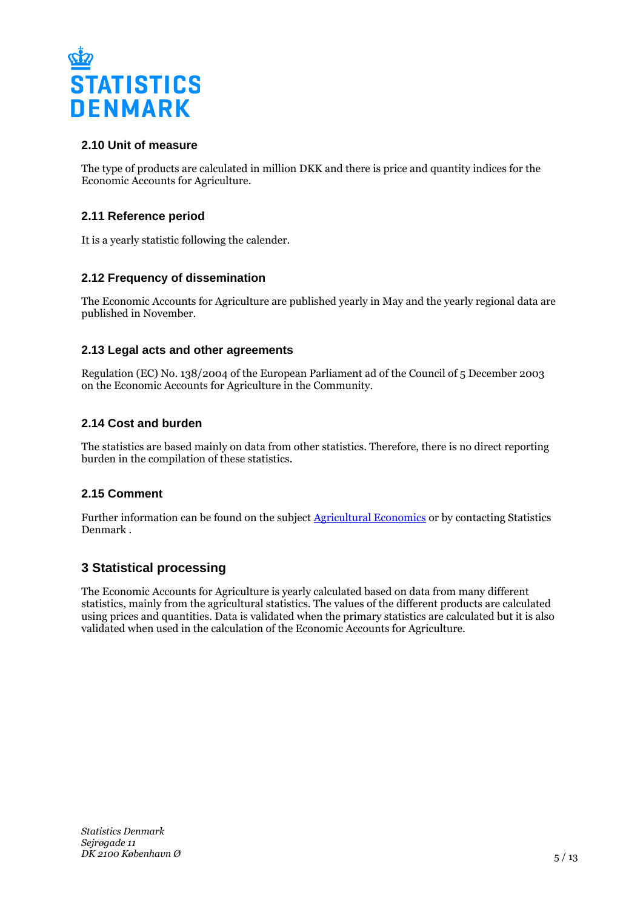

# **2.10 Unit of measure**

The type of products are calculated in million DKK and there is price and quantity indices for the Economic Accounts for Agriculture.

# **2.11 Reference period**

It is a yearly statistic following the calender.

# **2.12 Frequency of dissemination**

The Economic Accounts for Agriculture are published yearly in May and the yearly regional data are published in November.

# **2.13 Legal acts and other agreements**

Regulation (EC) No. 138/2004 of the European Parliament ad of the Council of 5 December 2003 on the Economic Accounts for Agriculture in the Community.

# **2.14 Cost and burden**

The statistics are based mainly on data from other statistics. Therefore, there is no direct reporting burden in the compilation of these statistics.

# **2.15 Comment**

Further information can be found on the subject [Agricultural Economics](https://www.dst.dk/en/Statistik/emner/erhvervslivssektorer/landbruggartneri-ogskovbrug/jordbrugetsoekonomi) or by contacting Statistics Denmark .

# **3 Statistical processing**

The Economic Accounts for Agriculture is yearly calculated based on data from many different statistics, mainly from the agricultural statistics. The values of the different products are calculated using prices and quantities. Data is validated when the primary statistics are calculated but it is also validated when used in the calculation of the Economic Accounts for Agriculture.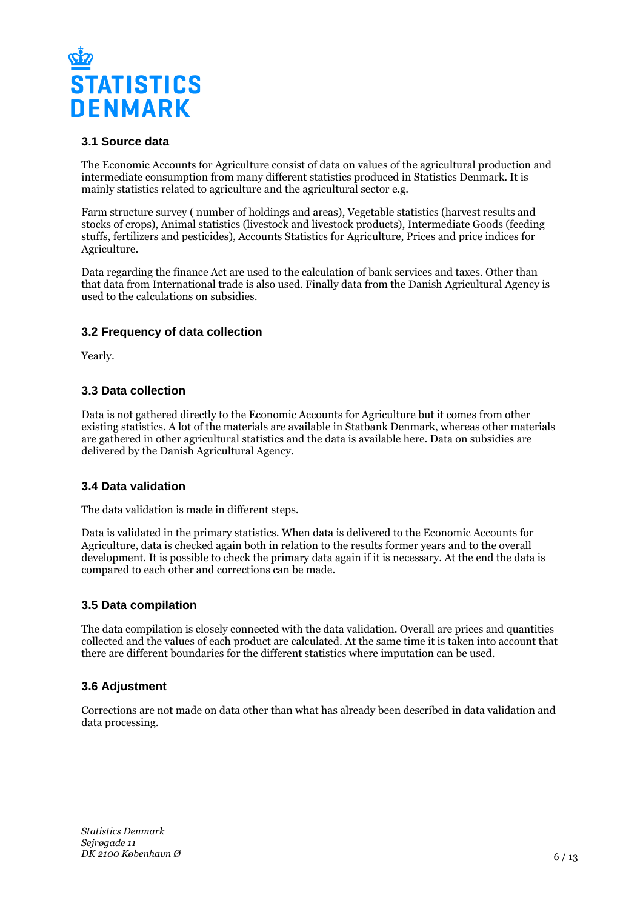

# **3.1 Source data**

The Economic Accounts for Agriculture consist of data on values of the agricultural production and intermediate consumption from many different statistics produced in Statistics Denmark. It is mainly statistics related to agriculture and the agricultural sector e.g.

Farm structure survey ( number of holdings and areas), Vegetable statistics (harvest results and stocks of crops), Animal statistics (livestock and livestock products), Intermediate Goods (feeding stuffs, fertilizers and pesticides), Accounts Statistics for Agriculture, Prices and price indices for Agriculture.

Data regarding the finance Act are used to the calculation of bank services and taxes. Other than that data from International trade is also used. Finally data from the Danish Agricultural Agency is used to the calculations on subsidies.

# **3.2 Frequency of data collection**

Yearly.

# **3.3 Data collection**

Data is not gathered directly to the Economic Accounts for Agriculture but it comes from other existing statistics. A lot of the materials are available in Statbank Denmark, whereas other materials are gathered in other agricultural statistics and the data is available here. Data on subsidies are delivered by the Danish Agricultural Agency.

### **3.4 Data validation**

The data validation is made in different steps.

Data is validated in the primary statistics. When data is delivered to the Economic Accounts for Agriculture, data is checked again both in relation to the results former years and to the overall development. It is possible to check the primary data again if it is necessary. At the end the data is compared to each other and corrections can be made.

### **3.5 Data compilation**

The data compilation is closely connected with the data validation. Overall are prices and quantities collected and the values of each product are calculated. At the same time it is taken into account that there are different boundaries for the different statistics where imputation can be used.

# **3.6 Adjustment**

Corrections are not made on data other than what has already been described in data validation and data processing.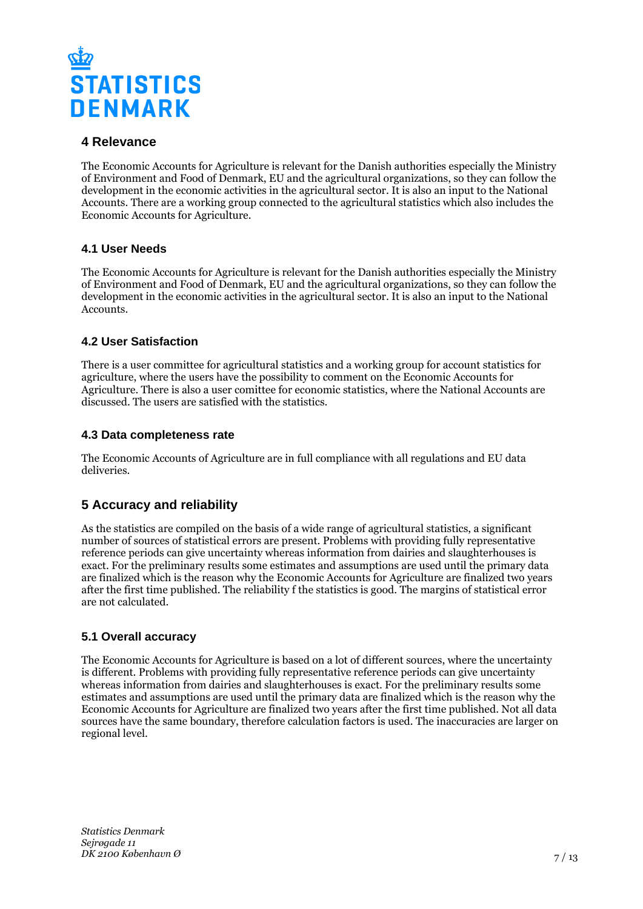

# **4 Relevance**

The Economic Accounts for Agriculture is relevant for the Danish authorities especially the Ministry of Environment and Food of Denmark, EU and the agricultural organizations, so they can follow the development in the economic activities in the agricultural sector. It is also an input to the National Accounts. There are a working group connected to the agricultural statistics which also includes the Economic Accounts for Agriculture.

# **4.1 User Needs**

The Economic Accounts for Agriculture is relevant for the Danish authorities especially the Ministry of Environment and Food of Denmark, EU and the agricultural organizations, so they can follow the development in the economic activities in the agricultural sector. It is also an input to the National Accounts.

# **4.2 User Satisfaction**

There is a user committee for agricultural statistics and a working group for account statistics for agriculture, where the users have the possibility to comment on the Economic Accounts for Agriculture. There is also a user comittee for economic statistics, where the National Accounts are discussed. The users are satisfied with the statistics.

# **4.3 Data completeness rate**

The Economic Accounts of Agriculture are in full compliance with all regulations and EU data deliveries.

# **5 Accuracy and reliability**

As the statistics are compiled on the basis of a wide range of agricultural statistics, a significant number of sources of statistical errors are present. Problems with providing fully representative reference periods can give uncertainty whereas information from dairies and slaughterhouses is exact. For the preliminary results some estimates and assumptions are used until the primary data are finalized which is the reason why the Economic Accounts for Agriculture are finalized two years after the first time published. The reliability f the statistics is good. The margins of statistical error are not calculated.

# **5.1 Overall accuracy**

The Economic Accounts for Agriculture is based on a lot of different sources, where the uncertainty is different. Problems with providing fully representative reference periods can give uncertainty whereas information from dairies and slaughterhouses is exact. For the preliminary results some estimates and assumptions are used until the primary data are finalized which is the reason why the Economic Accounts for Agriculture are finalized two years after the first time published. Not all data sources have the same boundary, therefore calculation factors is used. The inaccuracies are larger on regional level.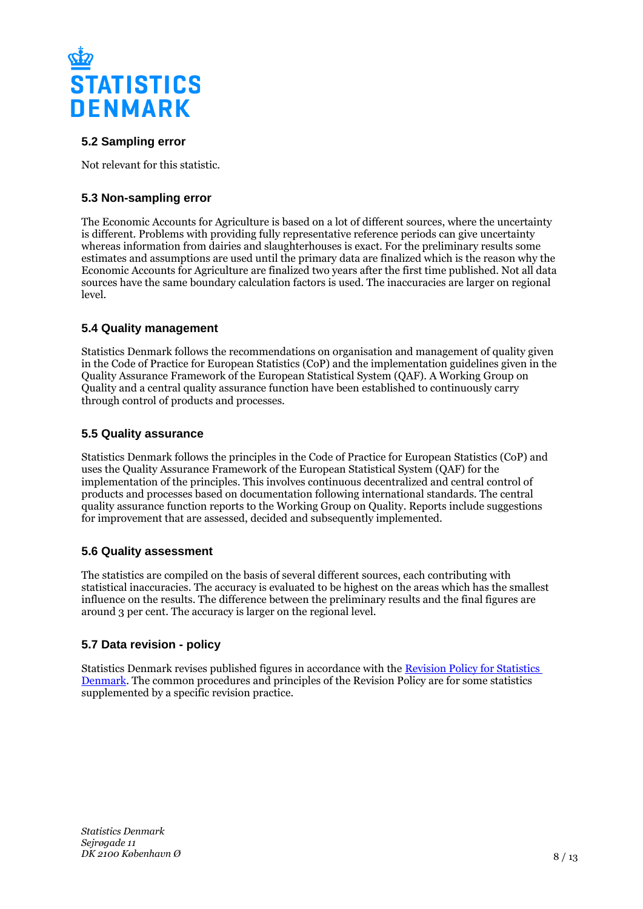

# **5.2 Sampling error**

Not relevant for this statistic.

# **5.3 Non-sampling error**

The Economic Accounts for Agriculture is based on a lot of different sources, where the uncertainty is different. Problems with providing fully representative reference periods can give uncertainty whereas information from dairies and slaughterhouses is exact. For the preliminary results some estimates and assumptions are used until the primary data are finalized which is the reason why the Economic Accounts for Agriculture are finalized two years after the first time published. Not all data sources have the same boundary calculation factors is used. The inaccuracies are larger on regional level.

# **5.4 Quality management**

Statistics Denmark follows the recommendations on organisation and management of quality given in the Code of Practice for European Statistics (CoP) and the implementation guidelines given in the Quality Assurance Framework of the European Statistical System (QAF). A Working Group on Quality and a central quality assurance function have been established to continuously carry through control of products and processes.

### **5.5 Quality assurance**

Statistics Denmark follows the principles in the Code of Practice for European Statistics (CoP) and uses the Quality Assurance Framework of the European Statistical System (QAF) for the implementation of the principles. This involves continuous decentralized and central control of products and processes based on documentation following international standards. The central quality assurance function reports to the Working Group on Quality. Reports include suggestions for improvement that are assessed, decided and subsequently implemented.

# **5.6 Quality assessment**

The statistics are compiled on the basis of several different sources, each contributing with statistical inaccuracies. The accuracy is evaluated to be highest on the areas which has the smallest influence on the results. The difference between the preliminary results and the final figures are around 3 per cent. The accuracy is larger on the regional level.

# **5.7 Data revision - policy**

Statistics Denmark revises published figures in accordance with the [Revision Policy for Statistics](https://www.dst.dk/en/OmDS/strategi-og-kvalitet/revisionspolitik.aspx)  [Denmark.](https://www.dst.dk/en/OmDS/strategi-og-kvalitet/revisionspolitik.aspx) The common procedures and principles of the Revision Policy are for some statistics supplemented by a specific revision practice.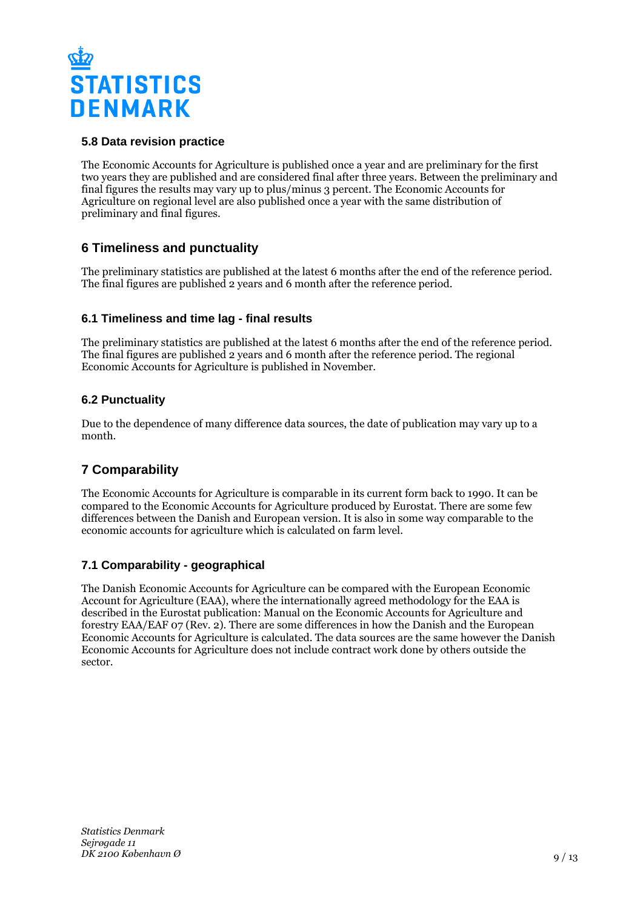

# **5.8 Data revision practice**

The Economic Accounts for Agriculture is published once a year and are preliminary for the first two years they are published and are considered final after three years. Between the preliminary and final figures the results may vary up to plus/minus 3 percent. The Economic Accounts for Agriculture on regional level are also published once a year with the same distribution of preliminary and final figures.

# **6 Timeliness and punctuality**

The preliminary statistics are published at the latest 6 months after the end of the reference period. The final figures are published 2 years and 6 month after the reference period.

# **6.1 Timeliness and time lag - final results**

The preliminary statistics are published at the latest 6 months after the end of the reference period. The final figures are published 2 years and 6 month after the reference period. The regional Economic Accounts for Agriculture is published in November.

# **6.2 Punctuality**

Due to the dependence of many difference data sources, the date of publication may vary up to a month.

# **7 Comparability**

The Economic Accounts for Agriculture is comparable in its current form back to 1990. It can be compared to the Economic Accounts for Agriculture produced by Eurostat. There are some few differences between the Danish and European version. It is also in some way comparable to the economic accounts for agriculture which is calculated on farm level.

# **7.1 Comparability - geographical**

The Danish Economic Accounts for Agriculture can be compared with the European Economic Account for Agriculture (EAA), where the internationally agreed methodology for the EAA is described in the Eurostat publication: Manual on the Economic Accounts for Agriculture and forestry EAA/EAF 07 (Rev. 2). There are some differences in how the Danish and the European Economic Accounts for Agriculture is calculated. The data sources are the same however the Danish Economic Accounts for Agriculture does not include contract work done by others outside the sector.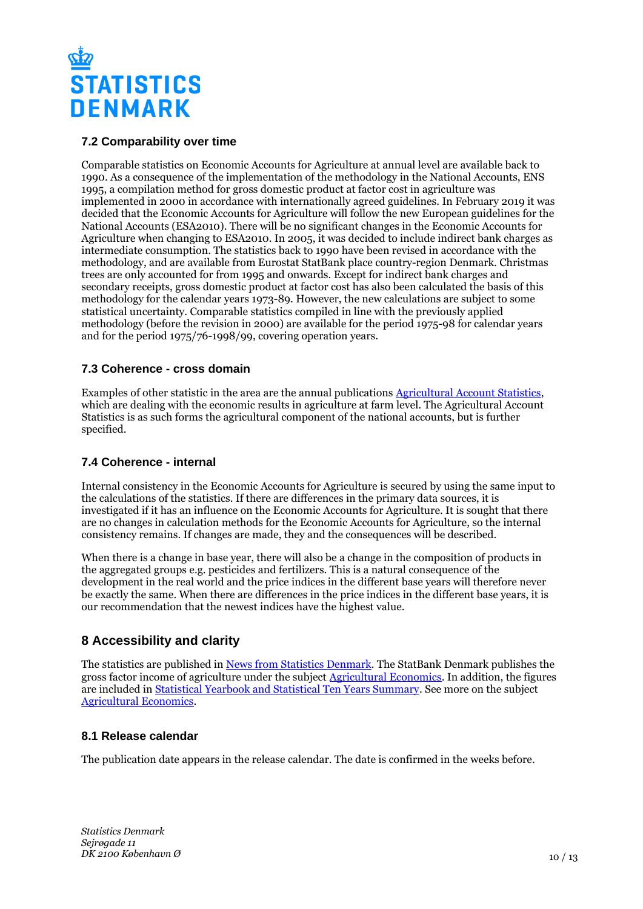

# **7.2 Comparability over time**

Comparable statistics on Economic Accounts for Agriculture at annual level are available back to 1990. As a consequence of the implementation of the methodology in the National Accounts, ENS 1995, a compilation method for gross domestic product at factor cost in agriculture was implemented in 2000 in accordance with internationally agreed guidelines. In February 2019 it was decided that the Economic Accounts for Agriculture will follow the new European guidelines for the National Accounts (ESA2010). There will be no significant changes in the Economic Accounts for Agriculture when changing to ESA2010. In 2005, it was decided to include indirect bank charges as intermediate consumption. The statistics back to 1990 have been revised in accordance with the methodology, and are available from Eurostat StatBank place country-region Denmark. Christmas trees are only accounted for from 1995 and onwards. Except for indirect bank charges and secondary receipts, gross domestic product at factor cost has also been calculated the basis of this methodology for the calendar years 1973-89. However, the new calculations are subject to some statistical uncertainty. Comparable statistics compiled in line with the previously applied methodology (before the revision in 2000) are available for the period 1975-98 for calendar years and for the period 1975/76-1998/99, covering operation years.

### **7.3 Coherence - cross domain**

Examples of other statistic in the area are the annual publications [Agricultural Account Statistics](https://www.dst.dk/da/Statistik/Publikationer/VisPub?cid=20707), which are dealing with the economic results in agriculture at farm level. The Agricultural Account Statistics is as such forms the agricultural component of the national accounts, but is further specified.

# **7.4 Coherence - internal**

Internal consistency in the Economic Accounts for Agriculture is secured by using the same input to the calculations of the statistics. If there are differences in the primary data sources, it is investigated if it has an influence on the Economic Accounts for Agriculture. It is sought that there are no changes in calculation methods for the Economic Accounts for Agriculture, so the internal consistency remains. If changes are made, they and the consequences will be described.

When there is a change in base year, there will also be a change in the composition of products in the aggregated groups e.g. pesticides and fertilizers. This is a natural consequence of the development in the real world and the price indices in the different base years will therefore never be exactly the same. When there are differences in the price indices in the different base years, it is our recommendation that the newest indices have the highest value.

# **8 Accessibility and clarity**

The statistics are published in [News from Statistics Denmark](https://www.dst.dk/en/Statistik/ny). The StatBank Denmark publishes the gross factor income of agriculture under the subject [Agricultural Economics](http://www.statbank.dk/10204). In addition, the figures are included in **[Statistical Yearbook and Statistical Ten Years Summary](https://www.dst.dk/en/Statistik/Publikationer)**. See more on the subject [Agricultural Economics](https://www.dst.dk/en/Statistik/emner/erhvervslivsektorer/landbrug-gartneri-og-skovbrug/jordbrugets%C3%B8konomi).

# **8.1 Release calendar**

The publication date appears in the release calendar. The date is confirmed in the weeks before.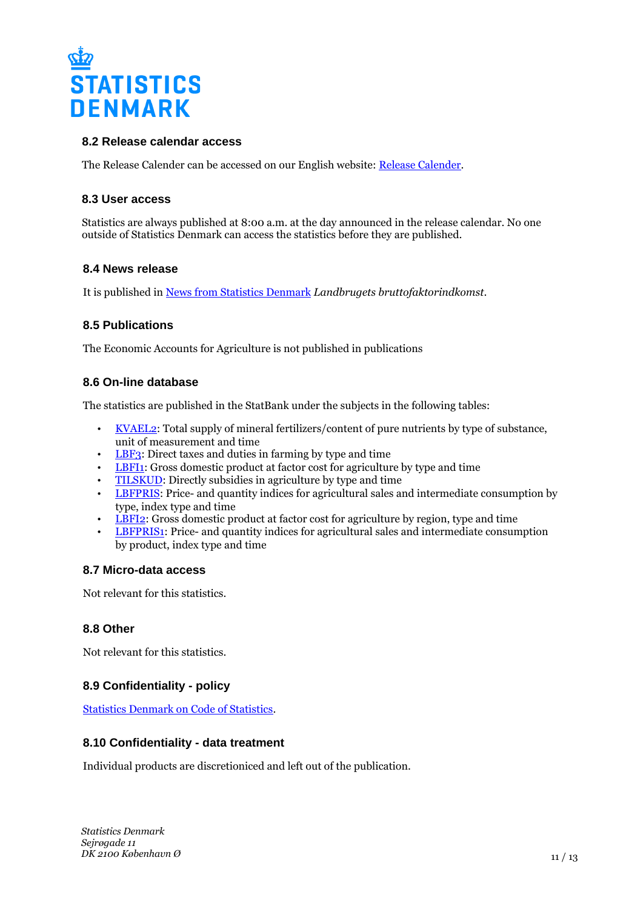

### **8.2 Release calendar access**

The Release Calender can be accessed on our English website: [Release Calender.](https://www.dst.dk/en/Statistik/offentliggoerelser.aspx)

### **8.3 User access**

Statistics are always published at 8:00 a.m. at the day announced in the release calendar. No one outside of Statistics Denmark can access the statistics before they are published.

### **8.4 News release**

It is published in [News from Statistics Denmark](https://www.dst.dk/en/Statistik/nyt) *Landbrugets bruttofaktorindkomst*.

### **8.5 Publications**

The Economic Accounts for Agriculture is not published in publications

### **8.6 On-line database**

The statistics are published in the StatBank under the subjects in the following tables:

- [KVAEL2](https://www.statbank.dk/KVAEL2): Total supply of mineral fertilizers/content of pure nutrients by type of substance, unit of measurement and time
- [LBF3:](https://www.statbank.dk/LBF3) Direct taxes and duties in farming by type and time
- [LBFI1:](https://www.statbank.dk/LBFI1) Gross domestic product at factor cost for agriculture by type and time
- [TILSKUD:](https://www.statbank.dk/TILSKUD) Directly subsidies in agriculture by type and time
- [LBFPRIS](https://www.statbank.dk/LBFPRIS): Price- and quantity indices for agricultural sales and intermediate consumption by type, index type and time
- [LBFI2:](https://www.statbank.dk/LBFI2) Gross domestic product at factor cost for agriculture by region, type and time
- [LBFPRIS1](https://www.statbank.dk/LBFPRIS1): Price- and quantity indices for agricultural sales and intermediate consumption by product, index type and time

### **8.7 Micro-data access**

Not relevant for this statistics.

### **8.8 Other**

Not relevant for this statistics.

# **8.9 Confidentiality - policy**

[Statistics Denmark on Code of Statistics.](https://www.dst.dk/en/OmDS/lovgivning.aspx)

### **8.10 Confidentiality - data treatment**

Individual products are discretioniced and left out of the publication.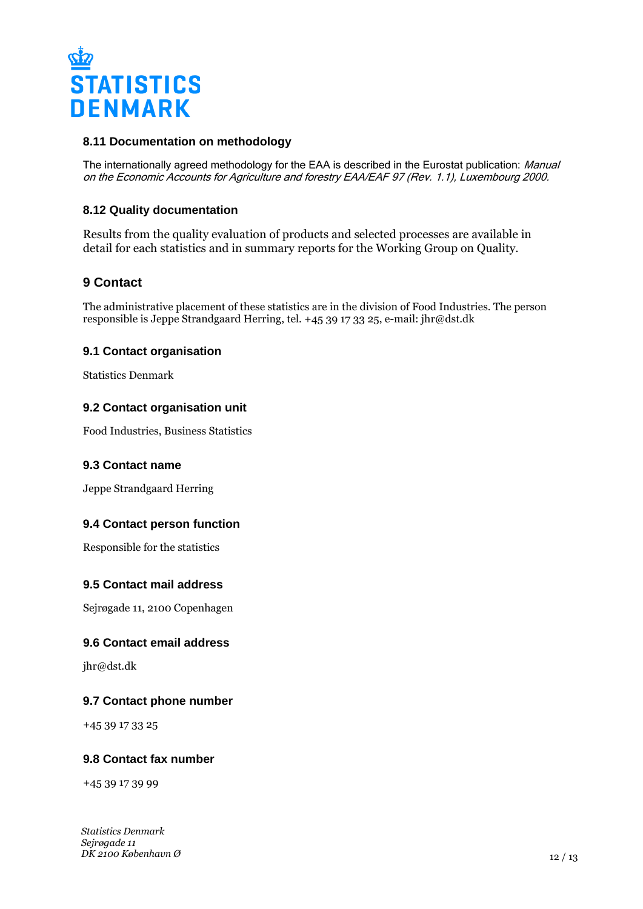

### **8.11 Documentation on methodology**

The internationally agreed methodology for the EAA is described in the Eurostat publication: Manual on the Economic Accounts for Agriculture and forestry EAA/EAF 97 (Rev. 1.1), Luxembourg 2000.

### **8.12 Quality documentation**

Results from the quality evaluation of products and selected processes are available in detail for each statistics and in summary reports for the Working Group on Quality.

# **9 Contact**

The administrative placement of these statistics are in the division of Food Industries. The person responsible is Jeppe Strandgaard Herring, tel. +45 39 17 33 25, e-mail: jhr@dst.dk

### **9.1 Contact organisation**

Statistics Denmark

### **9.2 Contact organisation unit**

Food Industries, Business Statistics

### **9.3 Contact name**

Jeppe Strandgaard Herring

### **9.4 Contact person function**

Responsible for the statistics

### **9.5 Contact mail address**

Sejrøgade 11, 2100 Copenhagen

### **9.6 Contact email address**

jhr@dst.dk

### **9.7 Contact phone number**

+45 39 17 33 25

### **9.8 Contact fax number**

+45 39 17 39 99

*Statistics Denmark Sejrøgade 11 DK 2100 København Ø*